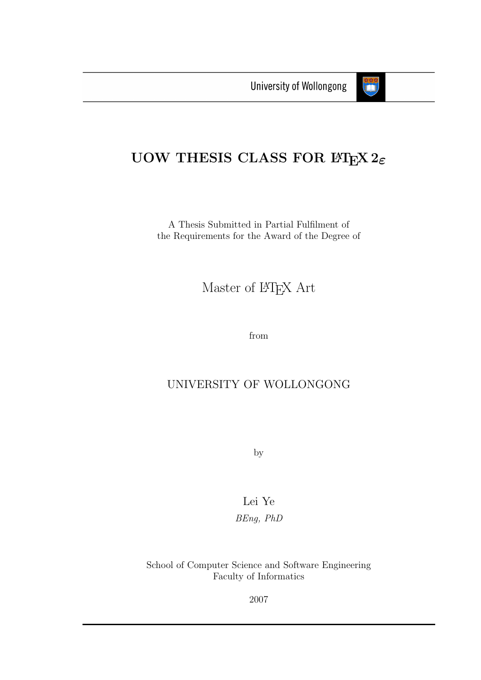

### UOW THESIS CLASS FOR  $B\text{Tr}X 2_{\varepsilon}$

A Thesis Submitted in Partial Fulfilment of the Requirements for the Award of the Degree of

Master of LATEX Art

from

#### UNIVERSITY OF WOLLONGONG

by

Lei Ye BEng, PhD

School of Computer Science and Software Engineering Faculty of Informatics

2007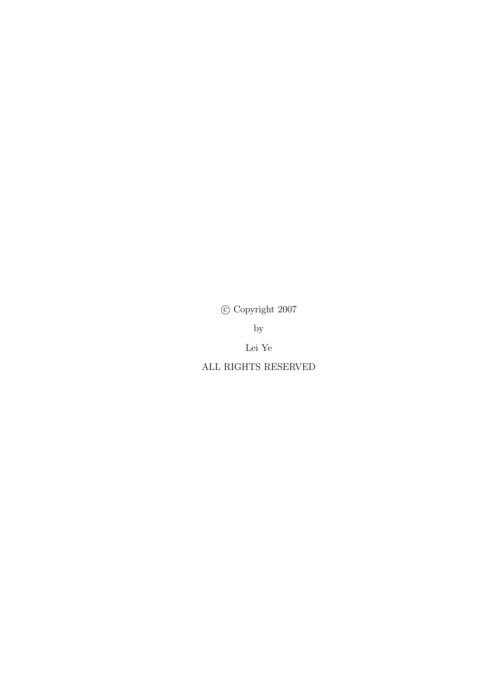$\odot$  Copyright 2007

 $by$ 

Lei Ye

ALL RIGHTS RESERVED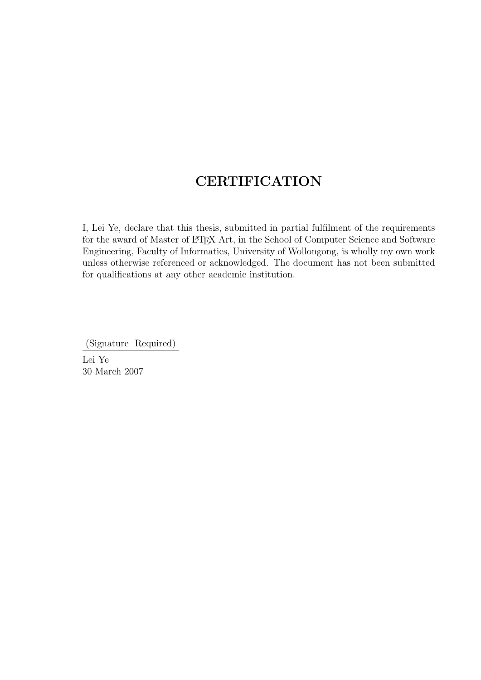#### **CERTIFICATION**

I, Lei Ye, declare that this thesis, submitted in partial fulfilment of the requirements for the award of Master of LATEX Art, in the School of Computer Science and Software Engineering, Faculty of Informatics, University of Wollongong, is wholly my own work unless otherwise referenced or acknowledged. The document has not been submitted for qualifications at any other academic institution.

(Signature Required)

Lei Ye 30 March 2007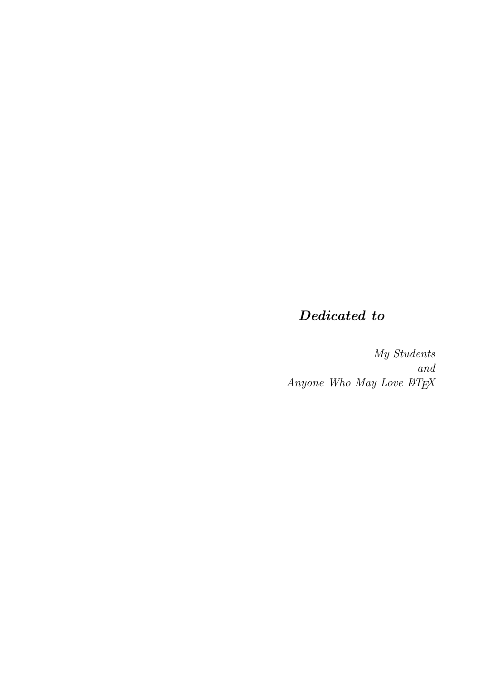### Dedicated to

My Students and Anyone Who May Love  $\mathbb{B} T_E X$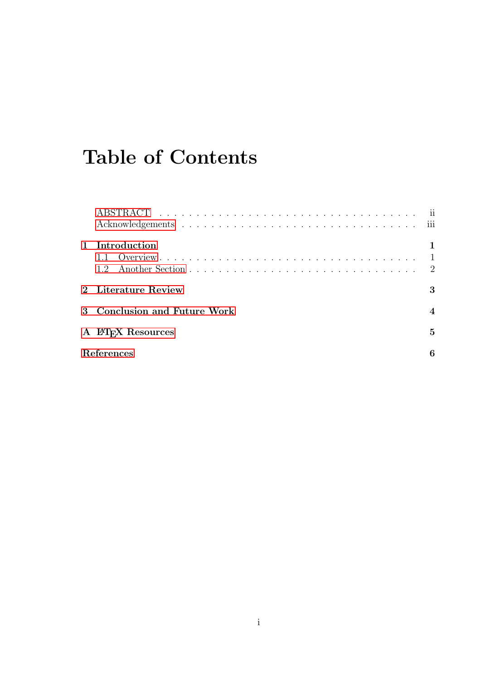## Table of Contents

| 1 Introduction               |   |
|------------------------------|---|
| 2 Literature Review          | 3 |
| 3 Conclusion and Future Work |   |
| A L'ALTEX Resources          | 5 |
| References                   | 6 |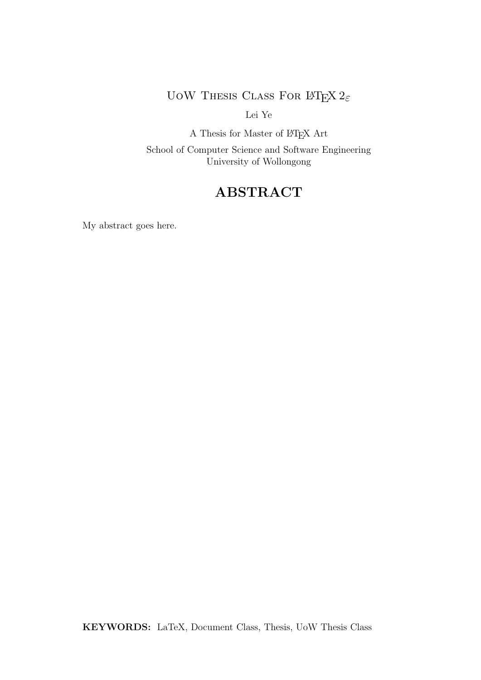UOW THESIS CLASS FOR LATEX  $2\varepsilon$ 

Lei Ye

A Thesis for Master of  $\mathbb{B}\mathrm{T}_{\mathrm{E}}\mathrm{X}$  Art

School of Computer Science and Software Engineering University of Wollongong

#### ABSTRACT

<span id="page-5-0"></span>My abstract goes here.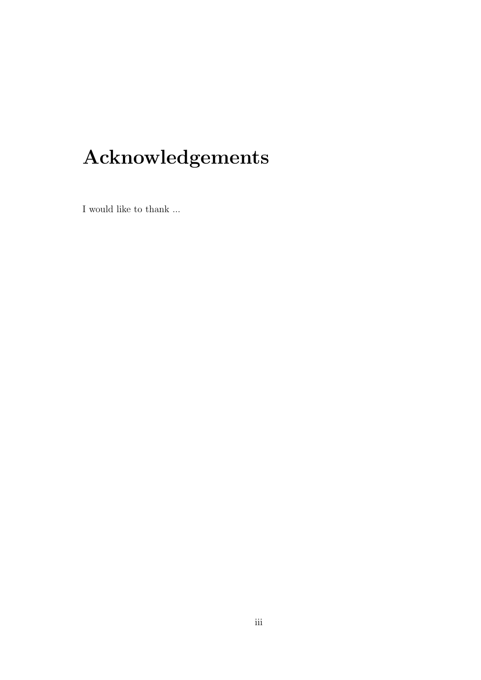# Acknowledgements

<span id="page-6-0"></span>I would like to thank  $\ldots$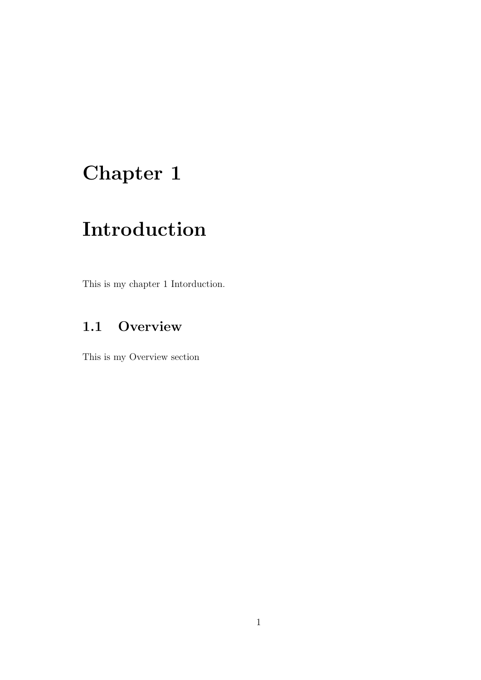# <span id="page-7-0"></span>Chapter 1

### Introduction

This is my chapter 1 Intorduction.

#### <span id="page-7-1"></span>1.1 Overview

This is my Overview section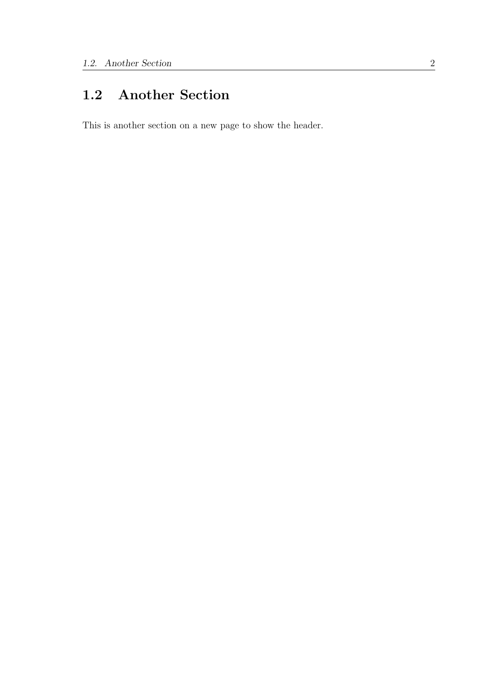#### <span id="page-8-0"></span>1.2 Another Section

This is another section on a new page to show the header.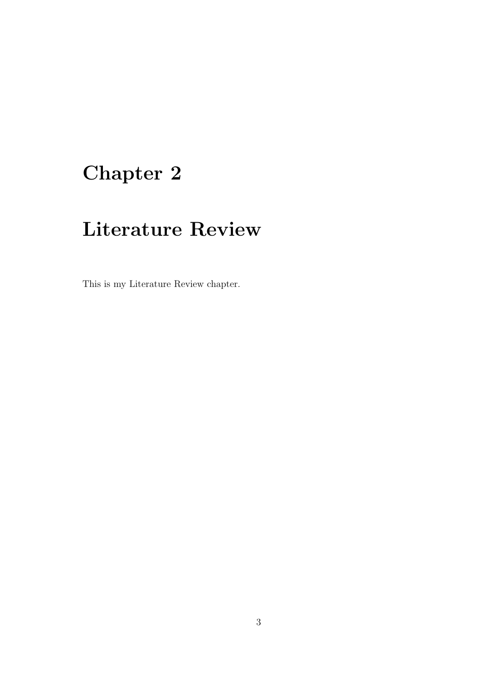# <span id="page-9-0"></span>Chapter 2

### Literature Review

This is my Literature Review chapter.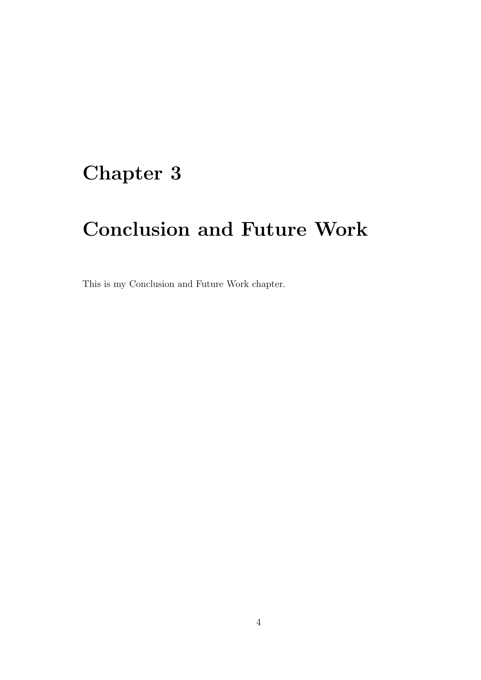### <span id="page-10-0"></span>Chapter 3

# Conclusion and Future Work

This is my Conclusion and Future Work chapter.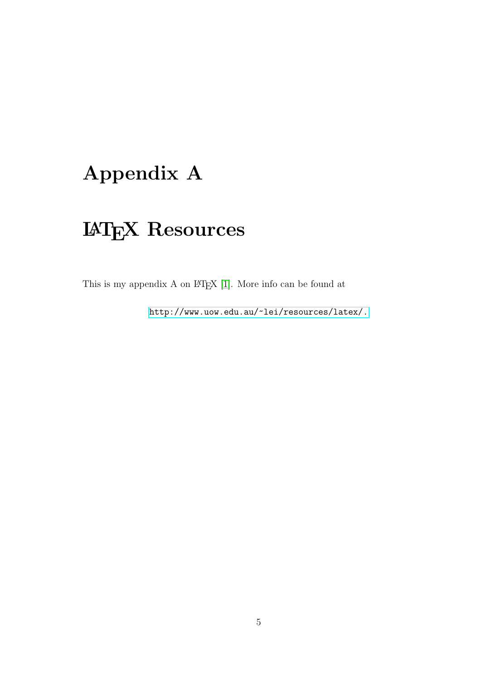# <span id="page-11-0"></span>Appendix A

# LATEX Resources

This is my appendix  ${\bf A}$  on  ${\mathbb B} \text{T} {\bf \overline{{\rm E}}} {\bf X}$  [\[1\]](#page-12-1). More info can be found at

<http://www.uow.edu.au/~lei/resources/latex/.>